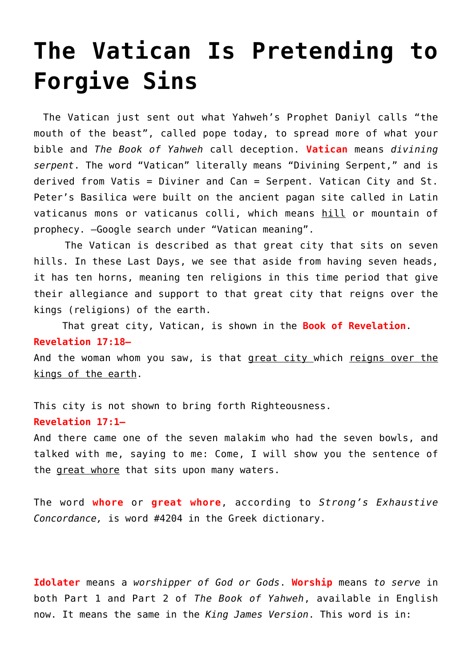# **[The Vatican Is Pretending to](https://yahwehsbranch.com/the-vatican-is-pretending-to-forgive-sins/) [Forgive Sins](https://yahwehsbranch.com/the-vatican-is-pretending-to-forgive-sins/)**

The Vatican just sent out what Yahweh's Prophet Daniyl calls "the mouth of the beast", called pope today, to spread more of what your bible and *The Book of Yahweh* call deception. **Vatican** means *divining serpent*. The word "Vatican" literally means "Divining Serpent," and is derived from Vatis = Diviner and Can = Serpent. Vatican City and St. Peter's Basilica were built on the ancient pagan site called in Latin vaticanus mons or vaticanus colli, which means hill or mountain of prophecy. —Google search under "Vatican meaning".

 The Vatican is described as that great city that sits on seven hills. In these Last Days, we see that aside from having seven heads, it has ten horns, meaning ten religions in this time period that give their allegiance and support to that great city that reigns over the kings (religions) of the earth.

 That great city, Vatican, is shown in the **Book of Revelation**. **Revelation 17:18—**

And the woman whom you saw, is that great city which reigns over the kings of the earth.

This city is not shown to bring forth Righteousness.

## **Revelation 17:1—**

And there came one of the seven malakim who had the seven bowls, and talked with me, saying to me: Come, I will show you the sentence of the great whore that sits upon many waters.

The word **whore** or **great whore**, according to *Strong's Exhaustive Concordance,* is word #4204 in the Greek dictionary.

**Idolater** means a *worshipper of God or Gods*. **Worship** means *to serve* in both Part 1 and Part 2 of *The Book of Yahweh*, available in English now. It means the same in the *King James Version*. This word is in: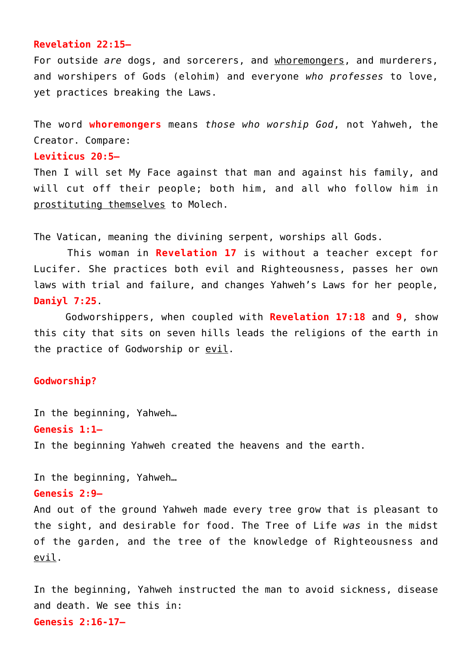## **Revelation 22:15—**

For outside *are* dogs, and sorcerers, and whoremongers, and murderers, and worshipers of Gods (elohim) and everyone *who professes* to love, yet practices breaking the Laws.

The word **whoremongers** means *those who worship God*, not Yahweh, the Creator. Compare:

## **Leviticus 20:5—**

Then I will set My Face against that man and against his family, and will cut off their people; both him, and all who follow him in prostituting themselves to Molech.

The Vatican, meaning the divining serpent, worships all Gods.

 This woman in **Revelation 17** is without a teacher except for Lucifer. She practices both evil and Righteousness, passes her own laws with trial and failure, and changes Yahweh's Laws for her people, **Daniyl 7:25**.

 Godworshippers, when coupled with **Revelation 17:18** and **9**, show this city that sits on seven hills leads the religions of the earth in the practice of Godworship or evil.

## **Godworship?**

In the beginning, Yahweh… **Genesis 1:1—** In the beginning Yahweh created the heavens and the earth.

In the beginning, Yahweh… **Genesis 2:9—** And out of the ground Yahweh made every tree grow that is pleasant to the sight, and desirable for food. The Tree of Life *was* in the midst

of the garden, and the tree of the knowledge of Righteousness and evil. In the beginning, Yahweh instructed the man to avoid sickness, disease

and death. We see this in: **Genesis 2:16-17—**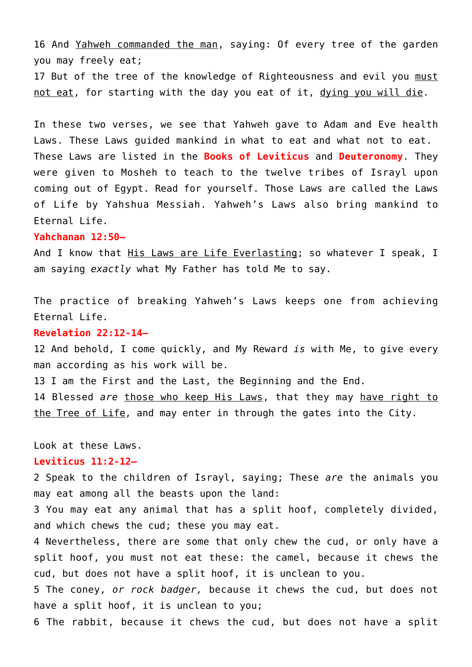16 And Yahweh commanded the man, saying: Of every tree of the garden you may freely eat;

17 But of the tree of the knowledge of Righteousness and evil you must not eat, for starting with the day you eat of it, dying you will die.

In these two verses, we see that Yahweh gave to Adam and Eve health Laws. These Laws guided mankind in what to eat and what not to eat. These Laws are listed in the **Books of Leviticus** and **Deuteronomy**. They were given to Mosheh to teach to the twelve tribes of Israyl upon coming out of Egypt. Read for yourself. Those Laws are called the Laws of Life by Yahshua Messiah. Yahweh's Laws also bring mankind to Eternal Life.

## **Yahchanan 12:50—**

And I know that His Laws are Life Everlasting; so whatever I speak, I am saying *exactly* what My Father has told Me to say.

The practice of breaking Yahweh's Laws keeps one from achieving Eternal Life.

#### **Revelation 22:12-14—**

12 And behold, I come quickly, and My Reward *is* with Me, to give every man according as his work will be.

13 I am the First and the Last, the Beginning and the End.

14 Blessed *are* those who keep His Laws, that they may have right to the Tree of Life, and may enter in through the gates into the City.

## Look at these Laws.

#### **Leviticus 11:2-12—**

2 Speak to the children of Israyl, saying; These *are* the animals you may eat among all the beasts upon the land:

3 You may eat any animal that has a split hoof, completely divided, and which chews the cud; these you may eat.

4 Nevertheless, there are some that only chew the cud, or only have a split hoof, you must not eat these: the camel, because it chews the cud, but does not have a split hoof, it is unclean to you.

5 The coney, *or rock badger,* because it chews the cud, but does not have a split hoof, it is unclean to you;

6 The rabbit, because it chews the cud, but does not have a split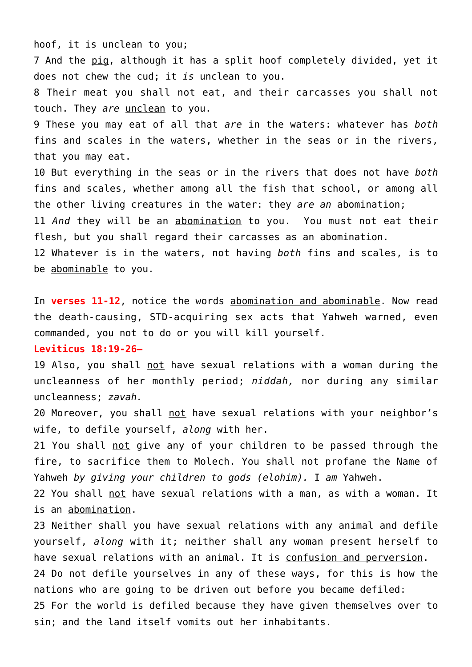hoof, it is unclean to you;

7 And the pig, although it has a split hoof completely divided, yet it does not chew the cud; it *is* unclean to you.

8 Their meat you shall not eat, and their carcasses you shall not touch. They *are* unclean to you.

9 These you may eat of all that *are* in the waters: whatever has *both* fins and scales in the waters, whether in the seas or in the rivers, that you may eat.

10 But everything in the seas or in the rivers that does not have *both* fins and scales, whether among all the fish that school, or among all the other living creatures in the water: they *are an* abomination;

11 *And* they will be an abomination to you. You must not eat their flesh, but you shall regard their carcasses as an abomination.

12 Whatever is in the waters, not having *both* fins and scales, is to be abominable to you.

In **verses 11-12**, notice the words abomination and abominable. Now read the death-causing, STD-acquiring sex acts that Yahweh warned, even commanded, you not to do or you will kill yourself.

#### **Leviticus 18:19-26—**

19 Also, you shall not have sexual relations with a woman during the uncleanness of her monthly period; *niddah,* nor during any similar uncleanness; *zavah.*

20 Moreover, you shall not have sexual relations with your neighbor's wife, to defile yourself, *along* with her.

21 You shall not give any of your children to be passed through the fire, to sacrifice them to Molech. You shall not profane the Name of Yahweh *by giving your children to gods (elohim).* I *am* Yahweh.

22 You shall not have sexual relations with a man, as with a woman. It is an abomination.

23 Neither shall you have sexual relations with any animal and defile yourself, *along* with it; neither shall any woman present herself to have sexual relations with an animal. It is confusion and perversion.

24 Do not defile yourselves in any of these ways, for this is how the nations who are going to be driven out before you became defiled:

25 For the world is defiled because they have given themselves over to sin; and the land itself vomits out her inhabitants.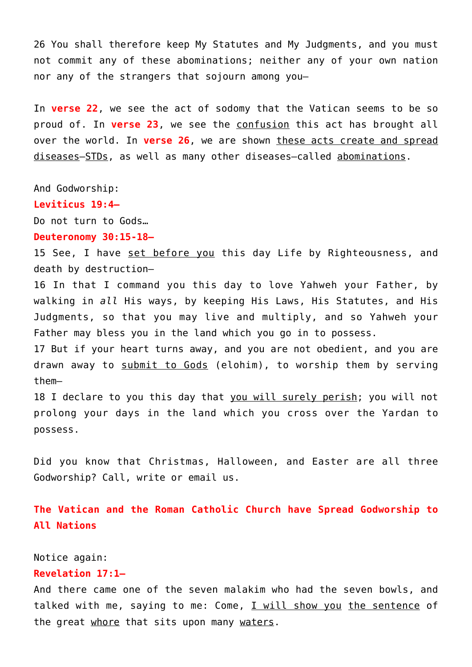26 You shall therefore keep My Statutes and My Judgments, and you must not commit any of these abominations; neither any of your own nation nor any of the strangers that sojourn among you—

In **verse 22**, we see the act of sodomy that the Vatican seems to be so proud of. In **verse 23**, we see the confusion this act has brought all over the world. In **verse 26**, we are shown these acts create and spread diseases–STDs, as well as many other diseases–called abominations.

And Godworship:

**Leviticus 19:4—**

Do not turn to Gods…

**Deuteronomy 30:15-18—**

15 See, I have set before you this day Life by Righteousness, and death by destruction—

16 In that I command you this day to love Yahweh your Father, by walking in *all* His ways, by keeping His Laws, His Statutes, and His Judgments, so that you may live and multiply, and so Yahweh your Father may bless you in the land which you go in to possess.

17 But if your heart turns away, and you are not obedient, and you are drawn away to submit to Gods (elohim), to worship them by serving them—

18 I declare to you this day that you will surely perish; you will not prolong your days in the land which you cross over the Yardan to possess.

Did you know that Christmas, Halloween, and Easter are all three Godworship? Call, write or email us.

**The Vatican and the Roman Catholic Church have Spread Godworship to All Nations** 

Notice again:

## **Revelation 17:1—**

And there came one of the seven malakim who had the seven bowls, and talked with me, saying to me: Come, I will show you the sentence of the great whore that sits upon many waters.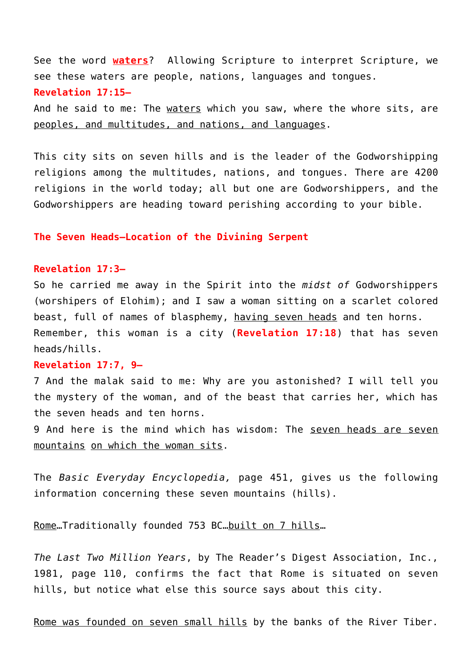See the word **waters**? Allowing Scripture to interpret Scripture, we see these waters are people, nations, languages and tongues. **Revelation 17:15—**

And he said to me: The waters which you saw, where the whore sits, are peoples, and multitudes, and nations, and languages.

This city sits on seven hills and is the leader of the Godworshipping religions among the multitudes, nations, and tongues. There are 4200 religions in the world today; all but one are Godworshippers, and the Godworshippers are heading toward perishing according to your bible.

#### **The Seven Heads–Location of the Divining Serpent**

#### **Revelation 17:3—**

So he carried me away in the Spirit into the *midst of* Godworshippers (worshipers of Elohim); and I saw a woman sitting on a scarlet colored beast, full of names of blasphemy, having seven heads and ten horns. Remember, this woman is a city (**Revelation 17:18**) that has seven heads/hills.

## **Revelation 17:7, 9—**

7 And the malak said to me: Why are you astonished? I will tell you the mystery of the woman, and of the beast that carries her, which has the seven heads and ten horns.

9 And here is the mind which has wisdom: The seven heads are seven mountains on which the woman sits.

The *Basic Everyday Encyclopedia,* page 451, gives us the following information concerning these seven mountains (hills).

Rome…Traditionally founded 753 BC…built on 7 hills…

*The Last Two Million Years*, by The Reader's Digest Association, Inc., 1981, page 110, confirms the fact that Rome is situated on seven hills, but notice what else this source says about this city.

Rome was founded on seven small hills by the banks of the River Tiber.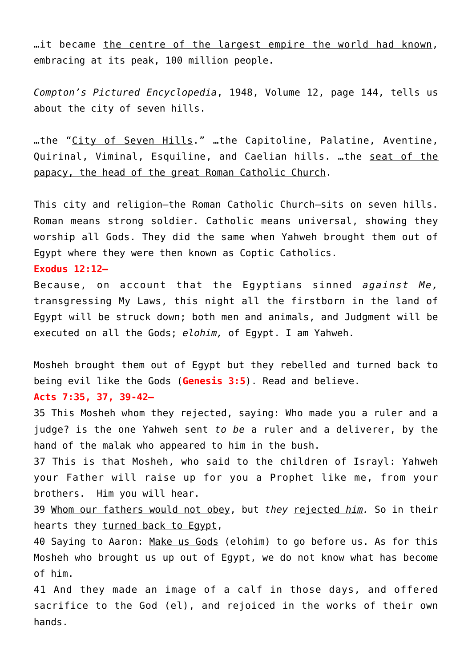…it became the centre of the largest empire the world had known, embracing at its peak, 100 million people.

*Compton's Pictured Encyclopedia*, 1948, Volume 12, page 144, tells us about the city of seven hills.

…the "City of Seven Hills." …the Capitoline, Palatine, Aventine, Quirinal, Viminal, Esquiline, and Caelian hills. …the seat of the papacy, the head of the great Roman Catholic Church.

This city and religion–the Roman Catholic Church–sits on seven hills. Roman means strong soldier. Catholic means universal, showing they worship all Gods. They did the same when Yahweh brought them out of Egypt where they were then known as Coptic Catholics.

**Exodus 12:12—**

Because, on account that the Egyptians sinned *against Me,* transgressing My Laws, this night all the firstborn in the land of Egypt will be struck down; both men and animals, and Judgment will be executed on all the Gods; *elohim,* of Egypt. I am Yahweh.

Mosheh brought them out of Egypt but they rebelled and turned back to being evil like the Gods (**Genesis 3:5**). Read and believe.

## **Acts 7:35, 37, 39-42—**

35 This Mosheh whom they rejected, saying: Who made you a ruler and a judge? is the one Yahweh sent *to be* a ruler and a deliverer, by the hand of the malak who appeared to him in the bush.

37 This is that Mosheh, who said to the children of Israyl: Yahweh your Father will raise up for you a Prophet like me, from your brothers. Him you will hear.

39 Whom our fathers would not obey, but *they* rejected *him.* So in their hearts they turned back to Egypt,

40 Saying to Aaron: Make us Gods (elohim) to go before us. As for this Mosheh who brought us up out of Egypt, we do not know what has become of him.

41 And they made an image of a calf in those days, and offered sacrifice to the God (el), and rejoiced in the works of their own hands.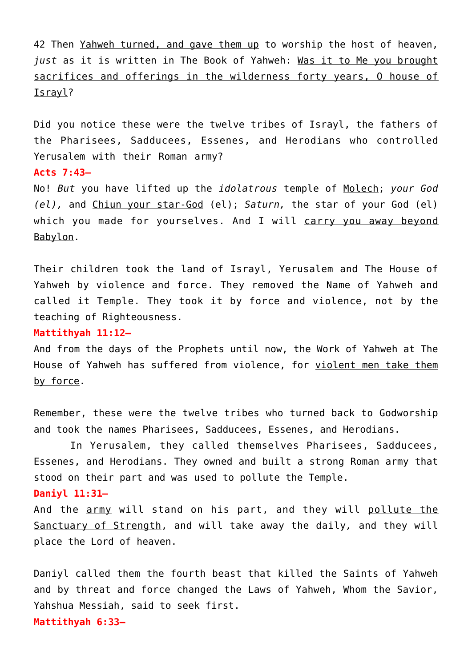42 Then Yahweh turned, and gave them up to worship the host of heaven, *just* as it is written in The Book of Yahweh: Was it to Me you brought sacrifices and offerings in the wilderness forty years, O house of Israyl?

Did you notice these were the twelve tribes of Israyl, the fathers of the Pharisees, Sadducees, Essenes, and Herodians who controlled Yerusalem with their Roman army?

## **Acts 7:43—**

No! *But* you have lifted up the *idolatrous* temple of Molech; *your God (el),* and Chiun your star-God (el); *Saturn,* the star of your God (el) which you made for yourselves. And I will carry you away beyond Babylon.

Their children took the land of Israyl, Yerusalem and The House of Yahweh by violence and force. They removed the Name of Yahweh and called it Temple. They took it by force and violence, not by the teaching of Righteousness.

## **Mattithyah 11:12—**

And from the days of the Prophets until now, the Work of Yahweh at The House of Yahweh has suffered from violence, for violent men take them by force.

Remember, these were the twelve tribes who turned back to Godworship and took the names Pharisees, Sadducees, Essenes, and Herodians.

 In Yerusalem, they called themselves Pharisees, Sadducees, Essenes, and Herodians. They owned and built a strong Roman army that stood on their part and was used to pollute the Temple.

## **Daniyl 11:31—**

And the army will stand on his part, and they will pollute the Sanctuary of Strength, and will take away the daily*,* and they will place the Lord of heaven.

Daniyl called them the fourth beast that killed the Saints of Yahweh and by threat and force changed the Laws of Yahweh, Whom the Savior, Yahshua Messiah, said to seek first. **Mattithyah 6:33—**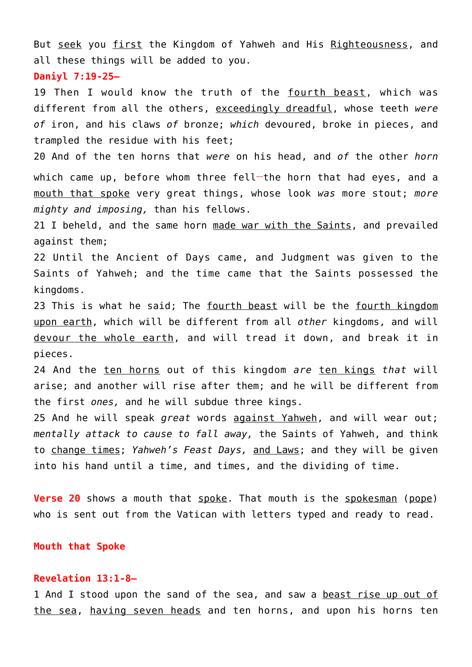But seek you first the Kingdom of Yahweh and His Righteousness, and all these things will be added to you.

**Daniyl 7:19-25—**

19 Then I would know the truth of the fourth beast, which was different from all the others, exceedingly dreadful, whose teeth *were of* iron, and his claws *of* bronze; *which* devoured, broke in pieces, and trampled the residue with his feet;

20 And of the ten horns that *were* on his head, and *of* the other *horn* which came up, before whom three fell-the horn that had eyes, and a mouth that spoke very great things, whose look *was* more stout; *more mighty and imposing,* than his fellows.

21 I beheld, and the same horn made war with the Saints, and prevailed against them;

22 Until the Ancient of Days came, and Judgment was given to the Saints of Yahweh; and the time came that the Saints possessed the kingdoms.

23 This is what he said; The fourth beast will be the fourth kingdom upon earth, which will be different from all *other* kingdoms, and will devour the whole earth, and will tread it down, and break it in pieces.

24 And the ten horns out of this kingdom *are* ten kings *that* will arise; and another will rise after them; and he will be different from the first *ones,* and he will subdue three kings.

25 And he will speak *great* words against Yahweh, and will wear out; *mentally attack to cause to fall away,* the Saints of Yahweh, and think to change times; *Yahweh's Feast Days,* and Laws; and they will be given into his hand until a time, and times, and the dividing of time.

**Verse 20** shows a mouth that spoke. That mouth is the spokesman (pope) who is sent out from the Vatican with letters typed and ready to read.

#### **Mouth that Spoke**

#### **Revelation 13:1-8—**

1 And I stood upon the sand of the sea, and saw a beast rise up out of the sea, having seven heads and ten horns, and upon his horns ten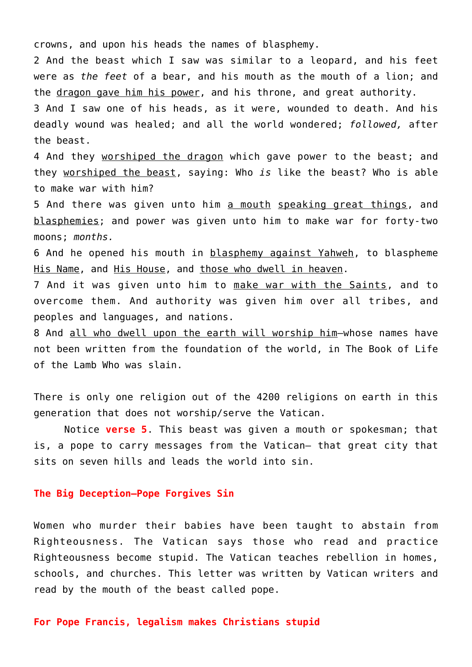crowns, and upon his heads the names of blasphemy.

2 And the beast which I saw was similar to a leopard, and his feet were as *the feet* of a bear, and his mouth as the mouth of a lion; and the dragon gave him his power, and his throne, and great authority.

3 And I saw one of his heads, as it were, wounded to death. And his deadly wound was healed; and all the world wondered; *followed,* after the beast.

4 And they worshiped the dragon which gave power to the beast; and they worshiped the beast, saying: Who *is* like the beast? Who is able to make war with him?

5 And there was given unto him a mouth speaking great things, and blasphemies; and power was given unto him to make war for forty-two moons; *months.*

6 And he opened his mouth in blasphemy against Yahweh, to blaspheme His Name, and His House, and those who dwell in heaven.

7 And it was given unto him to make war with the Saints, and to overcome them. And authority was given him over all tribes, and peoples and languages, and nations.

8 And all who dwell upon the earth will worship him-whose names have not been written from the foundation of the world, in The Book of Life of the Lamb Who was slain.

There is only one religion out of the 4200 religions on earth in this generation that does not worship/serve the Vatican.

 Notice **verse 5**. This beast was given a mouth or spokesman; that is, a pope to carry messages from the Vatican– that great city that sits on seven hills and leads the world into sin.

## **The Big Deception–Pope Forgives Sin**

Women who murder their babies have been taught to abstain from Righteousness. The Vatican says those who read and practice Righteousness become stupid. The Vatican teaches rebellion in homes, schools, and churches. This letter was written by Vatican writers and read by the mouth of the beast called pope.

#### **For Pope Francis, legalism makes Christians stupid**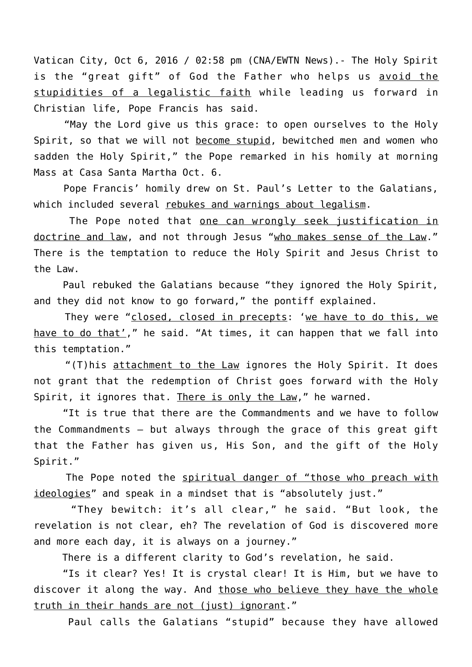Vatican City, Oct 6, 2016 / 02:58 pm (CNA/EWTN News).- The Holy Spirit is the "great gift" of God the Father who helps us avoid the stupidities of a legalistic faith while leading us forward in Christian life, Pope Francis has said.

 "May the Lord give us this grace: to open ourselves to the Holy Spirit, so that we will not become stupid, bewitched men and women who sadden the Holy Spirit," the Pope remarked in his homily at morning Mass at Casa Santa Martha Oct. 6.

 Pope Francis' homily drew on St. Paul's Letter to the Galatians, which included several rebukes and warnings about legalism.

 The Pope noted that one can wrongly seek justification in doctrine and law, and not through Jesus "who makes sense of the Law." There is the temptation to reduce the Holy Spirit and Jesus Christ to the Law.

 Paul rebuked the Galatians because "they ignored the Holy Spirit, and they did not know to go forward," the pontiff explained.

 They were "closed, closed in precepts: 'we have to do this, we have to do that'," he said. "At times, it can happen that we fall into this temptation."

 "(T)his attachment to the Law ignores the Holy Spirit. It does not grant that the redemption of Christ goes forward with the Holy Spirit, it ignores that. There is only the Law," he warned.

 "It is true that there are the Commandments and we have to follow the Commandments – but always through the grace of this great gift that the Father has given us, His Son, and the gift of the Holy Spirit."

The Pope noted the spiritual danger of "those who preach with ideologies" and speak in a mindset that is "absolutely just."

 "They bewitch: it's all clear," he said. "But look, the revelation is not clear, eh? The revelation of God is discovered more and more each day, it is always on a journey."

There is a different clarity to God's revelation, he said.

 "Is it clear? Yes! It is crystal clear! It is Him, but we have to discover it along the way. And those who believe they have the whole truth in their hands are not (just) ignorant."

Paul calls the Galatians "stupid" because they have allowed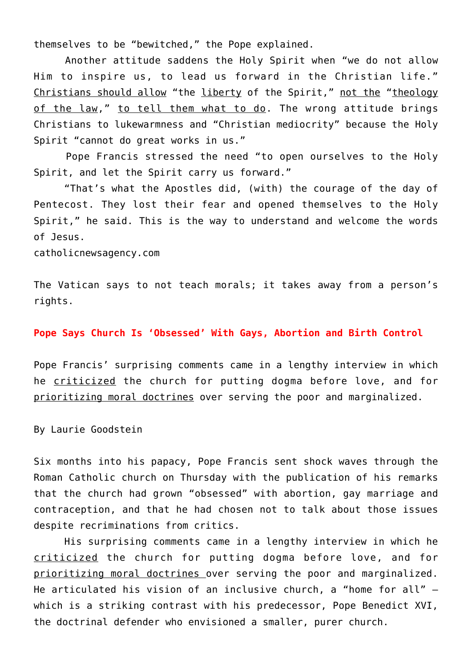themselves to be "bewitched," the Pope explained.

 Another attitude saddens the Holy Spirit when "we do not allow Him to inspire us, to lead us forward in the Christian life." Christians should allow "the liberty of the Spirit," not the "theology of the law," to tell them what to do. The wrong attitude brings Christians to lukewarmness and "Christian mediocrity" because the Holy Spirit "cannot do great works in us."

 Pope Francis stressed the need "to open ourselves to the Holy Spirit, and let the Spirit carry us forward."

 "That's what the Apostles did, (with) the courage of the day of Pentecost. They lost their fear and opened themselves to the Holy Spirit," he said. This is the way to understand and welcome the words of Jesus.

catholicnewsagency.com

The Vatican says to not teach morals; it takes away from a person's rights.

#### **Pope Says Church Is 'Obsessed' With Gays, Abortion and Birth Control**

Pope Francis' surprising comments came in a lengthy interview in which he criticized the church for putting dogma before love, and for prioritizing moral doctrines over serving the poor and marginalized.

By Laurie Goodstein

Six months into his papacy, Pope Francis sent shock waves through the Roman Catholic church on Thursday with the publication of his remarks that the church had grown "obsessed" with abortion, gay marriage and contraception, and that he had chosen not to talk about those issues despite recriminations from critics.

 His surprising comments came in a lengthy interview in which he criticized the church for putting dogma before love, and for prioritizing moral doctrines over serving the poor and marginalized. He articulated his vision of an inclusive church, a "home for all" which is a striking contrast with his predecessor, Pope Benedict XVI, the doctrinal defender who envisioned a smaller, purer church.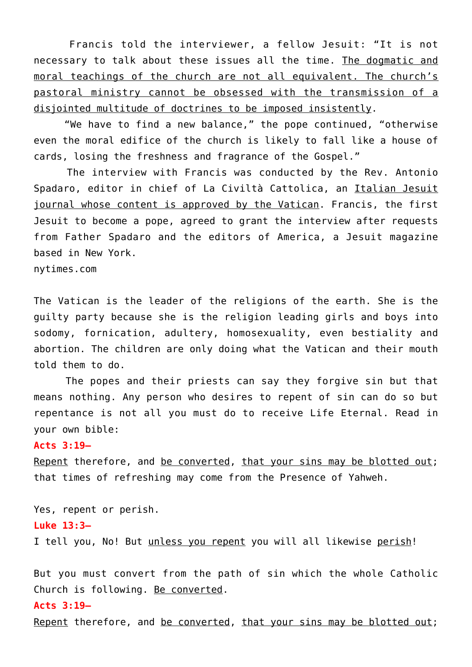Francis told the interviewer, a fellow Jesuit: "It is not necessary to talk about these issues all the time. The dogmatic and moral teachings of the church are not all equivalent. The church's pastoral ministry cannot be obsessed with the transmission of a disjointed multitude of doctrines to be imposed insistently.

 "We have to find a new balance," the pope continued, "otherwise even the moral edifice of the church is likely to fall like a house of cards, losing the freshness and fragrance of the Gospel."

 The interview with Francis was conducted by the Rev. Antonio Spadaro, editor in chief of La Civiltà Cattolica, an Italian Jesuit journal whose content is approved by the Vatican. Francis, the first Jesuit to become a pope, agreed to grant the interview after requests from Father Spadaro and the editors of America, a Jesuit magazine based in New York.

nytimes.com

The Vatican is the leader of the religions of the earth. She is the guilty party because she is the religion leading girls and boys into sodomy, fornication, adultery, homosexuality, even bestiality and abortion. The children are only doing what the Vatican and their mouth told them to do.

 The popes and their priests can say they forgive sin but that means nothing. Any person who desires to repent of sin can do so but repentance is not all you must do to receive Life Eternal. Read in your own bible:

#### **Acts 3:19—**

Repent therefore, and be converted, that your sins may be blotted out; that times of refreshing may come from the Presence of Yahweh.

Yes, repent or perish. **Luke 13:3—** I tell you, No! But unless you repent you will all likewise perish!

But you must convert from the path of sin which the whole Catholic Church is following. Be converted.

## **Acts 3:19—**

Repent therefore, and be converted, that your sins may be blotted out;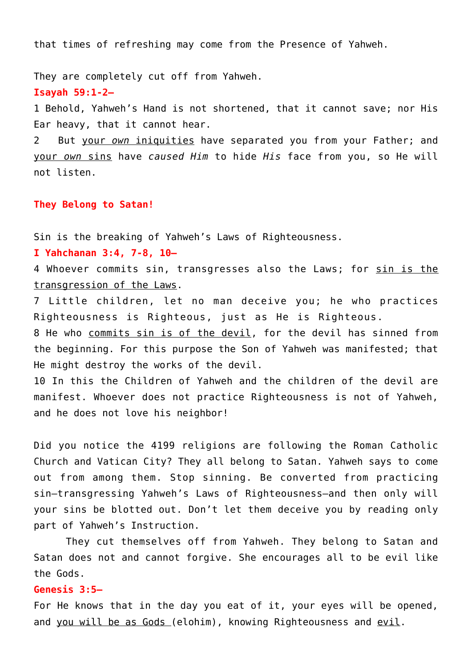that times of refreshing may come from the Presence of Yahweh.

They are completely cut off from Yahweh.

**Isayah 59:1-2—**

1 Behold, Yahweh's Hand is not shortened, that it cannot save; nor His Ear heavy, that it cannot hear.

2 But your *own* iniquities have separated you from your Father; and your *own* sins have *caused Him* to hide *His* face from you, so He will not listen.

**They Belong to Satan!**

Sin is the breaking of Yahweh's Laws of Righteousness.

**I Yahchanan 3:4, 7-8, 10—**

4 Whoever commits sin, transgresses also the Laws; for sin is the transgression of the Laws.

7 Little children, let no man deceive you; he who practices Righteousness is Righteous, just as He is Righteous.

8 He who commits sin is of the devil, for the devil has sinned from the beginning. For this purpose the Son of Yahweh was manifested; that He might destroy the works of the devil.

10 In this the Children of Yahweh and the children of the devil are manifest. Whoever does not practice Righteousness is not of Yahweh, and he does not love his neighbor!

Did you notice the 4199 religions are following the Roman Catholic Church and Vatican City? They all belong to Satan. Yahweh says to come out from among them. Stop sinning. Be converted from practicing sin–transgressing Yahweh's Laws of Righteousness–and then only will your sins be blotted out. Don't let them deceive you by reading only part of Yahweh's Instruction.

 They cut themselves off from Yahweh. They belong to Satan and Satan does not and cannot forgive. She encourages all to be evil like the Gods.

## **Genesis 3:5—**

For He knows that in the day you eat of it, your eyes will be opened, and you will be as Gods (elohim), knowing Righteousness and evil.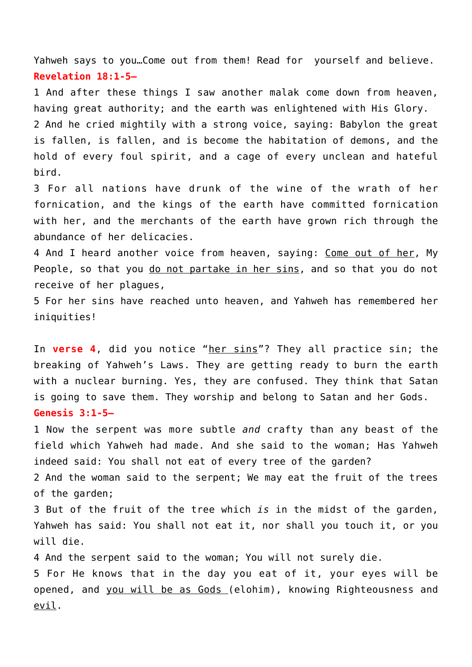Yahweh says to you…Come out from them! Read for yourself and believe. **Revelation 18:1-5—**

1 And after these things I saw another malak come down from heaven, having great authority; and the earth was enlightened with His Glory. 2 And he cried mightily with a strong voice, saying: Babylon the great is fallen, is fallen, and is become the habitation of demons, and the hold of every foul spirit, and a cage of every unclean and hateful bird.

3 For all nations have drunk of the wine of the wrath of her fornication, and the kings of the earth have committed fornication with her, and the merchants of the earth have grown rich through the abundance of her delicacies.

4 And I heard another voice from heaven, saying: Come out of her, My People, so that you do not partake in her sins, and so that you do not receive of her plagues,

5 For her sins have reached unto heaven, and Yahweh has remembered her iniquities!

In **verse 4**, did you notice "her sins"? They all practice sin; the breaking of Yahweh's Laws. They are getting ready to burn the earth with a nuclear burning. Yes, they are confused. They think that Satan is going to save them. They worship and belong to Satan and her Gods. **Genesis 3:1-5—**

1 Now the serpent was more subtle *and* crafty than any beast of the field which Yahweh had made. And she said to the woman; Has Yahweh indeed said: You shall not eat of every tree of the garden?

2 And the woman said to the serpent; We may eat the fruit of the trees of the garden;

3 But of the fruit of the tree which *is* in the midst of the garden, Yahweh has said: You shall not eat it, nor shall you touch it, or you will die.

4 And the serpent said to the woman; You will not surely die.

5 For He knows that in the day you eat of it, your eyes will be opened, and you will be as Gods (elohim), knowing Righteousness and evil.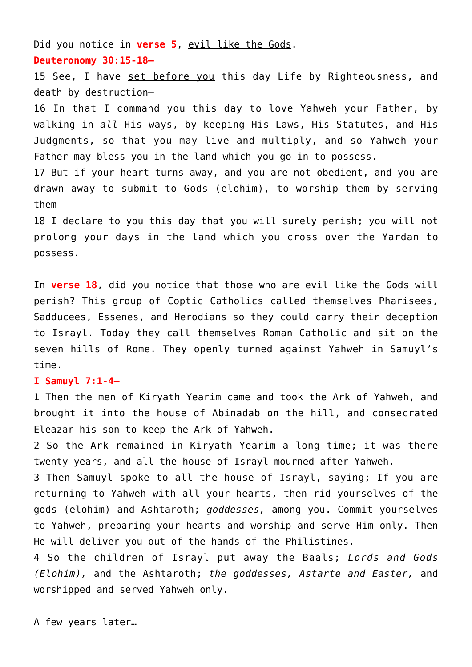Did you notice in **verse 5**, evil like the Gods. **Deuteronomy 30:15-18—**

15 See, I have set before you this day Life by Righteousness, and death by destruction—

16 In that I command you this day to love Yahweh your Father, by walking in *all* His ways, by keeping His Laws, His Statutes, and His Judgments, so that you may live and multiply, and so Yahweh your Father may bless you in the land which you go in to possess.

17 But if your heart turns away, and you are not obedient, and you are drawn away to submit to Gods (elohim), to worship them by serving them—

18 I declare to you this day that you will surely perish; you will not prolong your days in the land which you cross over the Yardan to possess.

In **verse 18**, did you notice that those who are evil like the Gods will perish? This group of Coptic Catholics called themselves Pharisees, Sadducees, Essenes, and Herodians so they could carry their deception to Israyl. Today they call themselves Roman Catholic and sit on the seven hills of Rome. They openly turned against Yahweh in Samuyl's time.

## **I Samuyl 7:1-4—**

1 Then the men of Kiryath Yearim came and took the Ark of Yahweh, and brought it into the house of Abinadab on the hill, and consecrated Eleazar his son to keep the Ark of Yahweh.

2 So the Ark remained in Kiryath Yearim a long time; it was there twenty years, and all the house of Israyl mourned after Yahweh.

3 Then Samuyl spoke to all the house of Israyl, saying; If you are returning to Yahweh with all your hearts, then rid yourselves of the gods (elohim) and Ashtaroth; *goddesses,* among you. Commit yourselves to Yahweh, preparing your hearts and worship and serve Him only. Then He will deliver you out of the hands of the Philistines.

4 So the children of Israyl put away the Baals; *Lords and Gods (Elohim),* and the Ashtaroth; *the goddesses, Astarte and Easter,* and worshipped and served Yahweh only.

A few years later…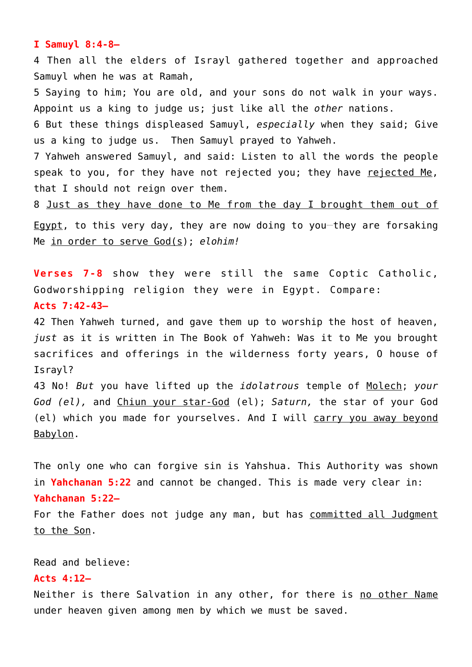#### **I Samuyl 8:4-8—**

4 Then all the elders of Israyl gathered together and approached Samuyl when he was at Ramah,

5 Saying to him; You are old, and your sons do not walk in your ways. Appoint us a king to judge us; just like all the *other* nations.

6 But these things displeased Samuyl, *especially* when they said; Give us a king to judge us. Then Samuyl prayed to Yahweh.

7 Yahweh answered Samuyl, and said: Listen to all the words the people speak to you, for they have not rejected you; they have rejected Me, that I should not reign over them.

8 Just as they have done to Me from the day I brought them out of

Egypt, to this very day, they are now doing to you-they are forsaking Me in order to serve God(s); *elohim!*

**Verses 7-8** show they were still the same Coptic Catholic, Godworshipping religion they were in Egypt. Compare: **Acts 7:42-43—**

42 Then Yahweh turned, and gave them up to worship the host of heaven, *just* as it is written in The Book of Yahweh: Was it to Me you brought sacrifices and offerings in the wilderness forty years, O house of Israyl?

43 No! *But* you have lifted up the *idolatrous* temple of Molech; *your God (el),* and Chiun your star-God (el); *Saturn,* the star of your God (el) which you made for yourselves. And I will carry you away beyond Babylon.

The only one who can forgive sin is Yahshua. This Authority was shown in **Yahchanan 5:22** and cannot be changed. This is made very clear in: **Yahchanan 5:22—**

For the Father does not judge any man, but has committed all Judgment to the Son.

Read and believe:

#### **Acts 4:12—**

Neither is there Salvation in any other, for there is no other Name under heaven given among men by which we must be saved.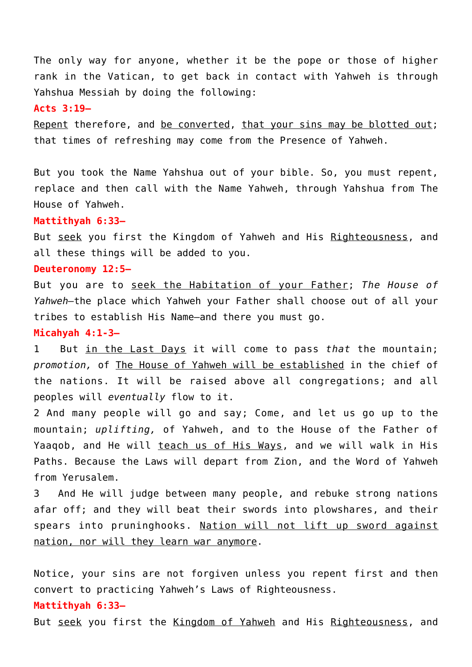The only way for anyone, whether it be the pope or those of higher rank in the Vatican, to get back in contact with Yahweh is through Yahshua Messiah by doing the following:

#### **Acts 3:19—**

Repent therefore, and be converted, that your sins may be blotted out; that times of refreshing may come from the Presence of Yahweh.

But you took the Name Yahshua out of your bible. So, you must repent, replace and then call with the Name Yahweh, through Yahshua from The House of Yahweh.

#### **Mattithyah 6:33—**

But seek you first the Kingdom of Yahweh and His Righteousness, and all these things will be added to you.

#### **Deuteronomy 12:5—**

But you are to seek the Habitation of your Father; *The House of Yahweh—*the place which Yahweh your Father shall choose out of all your tribes to establish His Name—and there you must go.

#### **Micahyah 4:1-3—**

1 But in the Last Days it will come to pass *that* the mountain; *promotion,* of The House of Yahweh will be established in the chief of the nations. It will be raised above all congregations; and all peoples will *eventually* flow to it.

2 And many people will go and say; Come, and let us go up to the mountain; *uplifting,* of Yahweh, and to the House of the Father of Yaaqob, and He will teach us of His Ways, and we will walk in His Paths. Because the Laws will depart from Zion, and the Word of Yahweh from Yerusalem.

3 And He will judge between many people, and rebuke strong nations afar off; and they will beat their swords into plowshares, and their spears into pruninghooks. Nation will not lift up sword against nation, nor will they learn war anymore.

Notice, your sins are not forgiven unless you repent first and then convert to practicing Yahweh's Laws of Righteousness.

## **Mattithyah 6:33—**

But seek you first the Kingdom of Yahweh and His Righteousness, and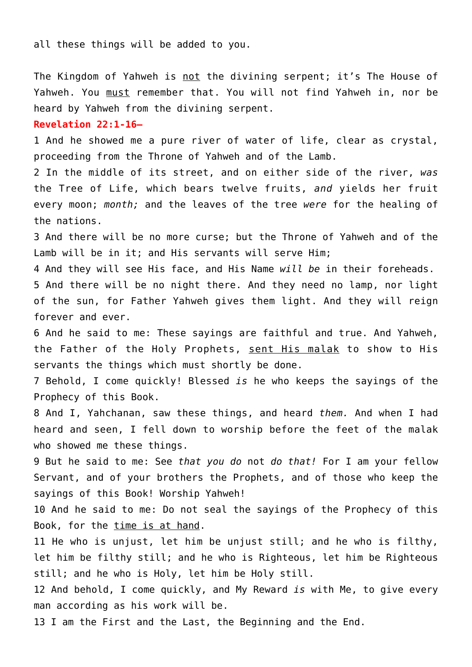all these things will be added to you.

The Kingdom of Yahweh is not the divining serpent; it's The House of Yahweh. You must remember that. You will not find Yahweh in, nor be heard by Yahweh from the divining serpent.

#### **Revelation 22:1-16—**

1 And he showed me a pure river of water of life, clear as crystal, proceeding from the Throne of Yahweh and of the Lamb.

2 In the middle of its street, and on either side of the river, *was* the Tree of Life, which bears twelve fruits, *and* yields her fruit every moon; *month;* and the leaves of the tree *were* for the healing of the nations.

3 And there will be no more curse; but the Throne of Yahweh and of the Lamb will be in it; and His servants will serve Him;

4 And they will see His face, and His Name *will be* in their foreheads. 5 And there will be no night there. And they need no lamp, nor light of the sun, for Father Yahweh gives them light. And they will reign forever and ever.

6 And he said to me: These sayings are faithful and true. And Yahweh, the Father of the Holy Prophets, sent His malak to show to His servants the things which must shortly be done.

7 Behold, I come quickly! Blessed *is* he who keeps the sayings of the Prophecy of this Book.

8 And I, Yahchanan, saw these things, and heard *them.* And when I had heard and seen, I fell down to worship before the feet of the malak who showed me these things.

9 But he said to me: See *that you do* not *do that!* For I am your fellow Servant, and of your brothers the Prophets, and of those who keep the sayings of this Book! Worship Yahweh!

10 And he said to me: Do not seal the sayings of the Prophecy of this Book, for the time is at hand.

11 He who is unjust, let him be unjust still; and he who is filthy, let him be filthy still; and he who is Righteous, let him be Righteous still; and he who is Holy, let him be Holy still.

12 And behold, I come quickly, and My Reward *is* with Me, to give every man according as his work will be.

13 I am the First and the Last, the Beginning and the End.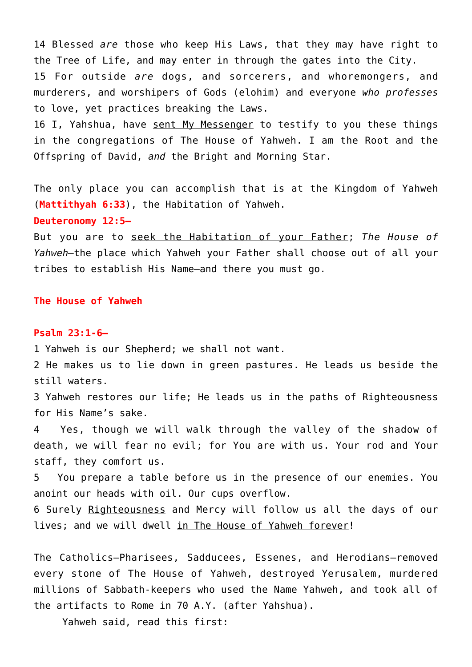14 Blessed *are* those who keep His Laws, that they may have right to the Tree of Life, and may enter in through the gates into the City. 15 For outside *are* dogs, and sorcerers, and whoremongers, and murderers, and worshipers of Gods (elohim) and everyone *who professes* to love, yet practices breaking the Laws.

16 I. Yahshua, have sent My Messenger to testify to you these things in the congregations of The House of Yahweh. I am the Root and the Offspring of David, *and* the Bright and Morning Star.

The only place you can accomplish that is at the Kingdom of Yahweh (**Mattithyah 6:33**), the Habitation of Yahweh.

## **Deuteronomy 12:5—**

But you are to seek the Habitation of your Father; *The House of Yahweh—*the place which Yahweh your Father shall choose out of all your tribes to establish His Name—and there you must go.

## **The House of Yahweh**

#### **Psalm 23:1-6—**

1 Yahweh is our Shepherd; we shall not want.

2 He makes us to lie down in green pastures. He leads us beside the still waters.

3 Yahweh restores our life; He leads us in the paths of Righteousness for His Name's sake.

4 Yes, though we will walk through the valley of the shadow of death, we will fear no evil; for You are with us. Your rod and Your staff, they comfort us.

5 You prepare a table before us in the presence of our enemies. You anoint our heads with oil. Our cups overflow.

6 Surely Righteousness and Mercy will follow us all the days of our lives; and we will dwell in The House of Yahweh forever!

The Catholics–Pharisees, Sadducees, Essenes, and Herodians–removed every stone of The House of Yahweh, destroyed Yerusalem, murdered millions of Sabbath-keepers who used the Name Yahweh, and took all of the artifacts to Rome in 70 A.Y. (after Yahshua).

Yahweh said, read this first: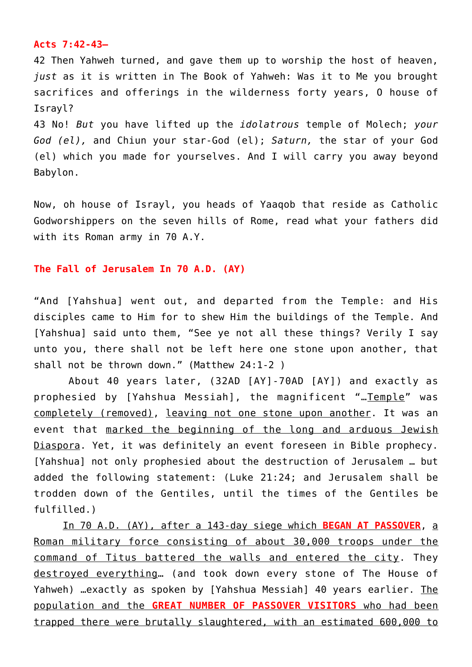## **Acts 7:42-43—**

42 Then Yahweh turned, and gave them up to worship the host of heaven, *just* as it is written in The Book of Yahweh: Was it to Me you brought sacrifices and offerings in the wilderness forty years, O house of Israyl?

43 No! *But* you have lifted up the *idolatrous* temple of Molech; *your God (el),* and Chiun your star-God (el); *Saturn,* the star of your God (el) which you made for yourselves. And I will carry you away beyond Babylon.

Now, oh house of Israyl, you heads of Yaaqob that reside as Catholic Godworshippers on the seven hills of Rome, read what your fathers did with its Roman army in 70 A.Y.

## **The Fall of Jerusalem In 70 A.D. (AY)**

"And [Yahshua] went out, and departed from the Temple: and His disciples came to Him for to shew Him the buildings of the Temple. And [Yahshua] said unto them, "See ye not all these things? Verily I say unto you, there shall not be left here one stone upon another, that shall not be thrown down." (Matthew 24:1-2 )

 About 40 years later, (32AD [AY]-70AD [AY]) and exactly as prophesied by [Yahshua Messiah], the magnificent "…Temple" was completely (removed), leaving not one stone upon another. It was an event that marked the beginning of the long and arduous Jewish Diaspora. Yet, it was definitely an event foreseen in Bible prophecy. [Yahshua] not only prophesied about the destruction of Jerusalem … but added the following statement: (Luke 21:24; and Jerusalem shall be trodden down of the Gentiles, until the times of the Gentiles be fulfilled.)

 In 70 A.D. (AY), after a 143-day siege which **BEGAN AT PASSOVER**, a Roman military force consisting of about 30,000 troops under the command of Titus battered the walls and entered the city. They destroyed everything… (and took down every stone of The House of Yahweh) …exactly as spoken by [Yahshua Messiah] 40 years earlier. The population and the **GREAT NUMBER OF PASSOVER VISITORS** who had been trapped there were brutally slaughtered, with an estimated 600,000 to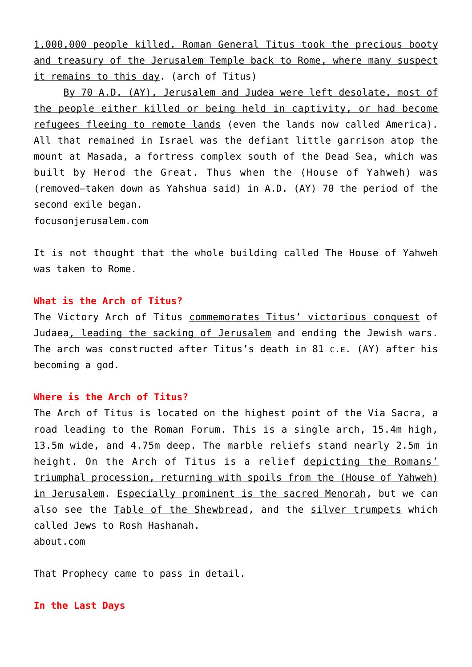1,000,000 people killed. Roman General Titus took the precious booty and treasury of the Jerusalem Temple back to Rome, where many suspect it remains to this day. (arch of Titus)

 By 70 A.D. (AY), Jerusalem and Judea were left desolate, most of the people either killed or being held in captivity, or had become refugees fleeing to remote lands (even the lands now called America). All that remained in Israel was the defiant little garrison atop the mount at Masada, a fortress complex south of the Dead Sea, which was built by Herod the Great. Thus when the (House of Yahweh) was (removed–taken down as Yahshua said) in A.D. (AY) 70 the period of the second exile began.

focusonjerusalem.com

It is not thought that the whole building called The House of Yahweh was taken to Rome.

## **What is the Arch of Titus?**

The Victory Arch of Titus commemorates Titus' victorious conquest of Judaea, leading the sacking of Jerusalem and ending the Jewish wars. The arch was constructed after Titus's death in 81 C.E. (AY) after his becoming a god.

## **Where is the Arch of Titus?**

The Arch of Titus is located on the highest point of the Via Sacra, a road leading to the Roman Forum. This is a single arch, 15.4m high, 13.5m wide, and 4.75m deep. The marble reliefs stand nearly 2.5m in height. On the Arch of Titus is a relief depicting the Romans' triumphal procession, returning with spoils from the (House of Yahweh) in Jerusalem. Especially prominent is the sacred Menorah, but we can also see the Table of the Shewbread, and the silver trumpets which called Jews to Rosh Hashanah. about.com

That Prophecy came to pass in detail.

#### **In the Last Days**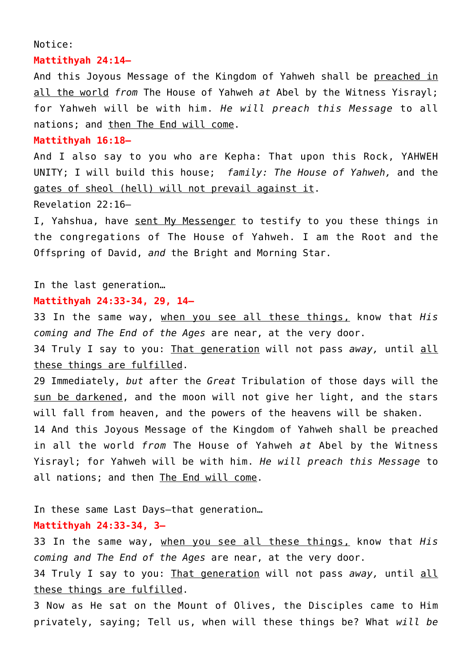#### Notice:

## **Mattithyah 24:14—**

And this Joyous Message of the Kingdom of Yahweh shall be preached in all the world *from* The House of Yahweh *at* Abel by the Witness Yisrayl; for Yahweh will be with him. *He will preach this Message* to all nations; and then The End will come.

## **Mattithyah 16:18—**

And I also say to you who are Kepha: That upon this Rock, YAHWEH UNITY; I will build this house; *family: The House of Yahweh,* and the gates of sheol (hell) will not prevail against it.

Revelation 22:16—

I, Yahshua, have sent My Messenger to testify to you these things in the congregations of The House of Yahweh. I am the Root and the Offspring of David, *and* the Bright and Morning Star.

In the last generation…

#### **Mattithyah 24:33-34, 29, 14—**

33 In the same way, when you see all these things, know that *His coming and The End of the Ages* are near, at the very door.

34 Truly I say to you: That generation will not pass *away,* until all these things are fulfilled.

29 Immediately, *but* after the *Great* Tribulation of those days will the sun be darkened, and the moon will not give her light, and the stars will fall from heaven, and the powers of the heavens will be shaken.

14 And this Joyous Message of the Kingdom of Yahweh shall be preached in all the world *from* The House of Yahweh *at* Abel by the Witness Yisrayl; for Yahweh will be with him. *He will preach this Message* to all nations; and then The End will come.

In these same Last Days–that generation…

## **Mattithyah 24:33-34, 3—**

33 In the same way, when you see all these things, know that *His coming and The End of the Ages* are near, at the very door.

34 Truly I say to you: That generation will not pass *away,* until all these things are fulfilled.

3 Now as He sat on the Mount of Olives, the Disciples came to Him privately, saying; Tell us, when will these things be? What *will be*